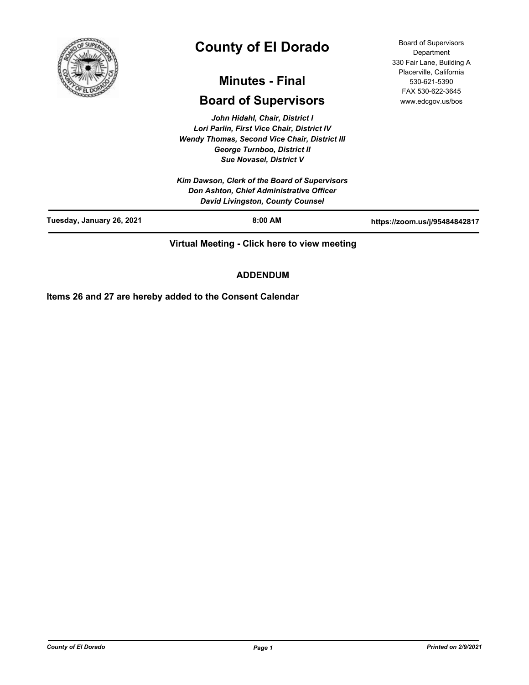

# **County of El Dorado**

## **Minutes - Final**

## **Board of Supervisors**

*John Hidahl, Chair, District I Lori Parlin, First Vice Chair, District IV Wendy Thomas, Second Vice Chair, District III George Turnboo, District II Sue Novasel, District V*

*Kim Dawson, Clerk of the Board of Supervisors Don Ashton, Chief Administrative Officer David Livingston, County Counsel*

**Tuesday, January 26, 2021 8:00 AM https://zoom.us/j/95484842817**

**Virtual Meeting - Click here to view meeting**

## **ADDENDUM**

**Items 26 and 27 are hereby added to the Consent Calendar**

Board of Supervisors **Department** 330 Fair Lane, Building A Placerville, California 530-621-5390 FAX 530-622-3645 www.edcgov.us/bos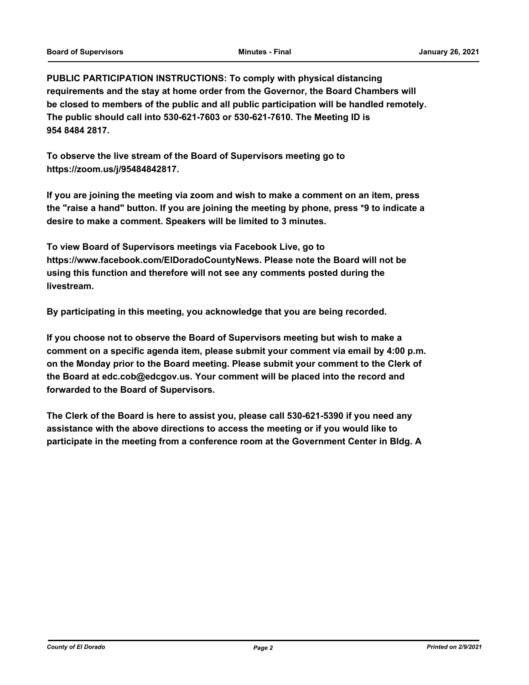**PUBLIC PARTICIPATION INSTRUCTIONS: To comply with physical distancing requirements and the stay at home order from the Governor, the Board Chambers will be closed to members of the public and all public participation will be handled remotely. The public should call into 530-621-7603 or 530-621-7610. The Meeting ID is 954 8484 2817.**

**To observe the live stream of the Board of Supervisors meeting go to https://zoom.us/j/95484842817.**

**If you are joining the meeting via zoom and wish to make a comment on an item, press the "raise a hand" button. If you are joining the meeting by phone, press \*9 to indicate a desire to make a comment. Speakers will be limited to 3 minutes.**

**To view Board of Supervisors meetings via Facebook Live, go to https://www.facebook.com/ElDoradoCountyNews. Please note the Board will not be using this function and therefore will not see any comments posted during the livestream.**

**By participating in this meeting, you acknowledge that you are being recorded.**

**If you choose not to observe the Board of Supervisors meeting but wish to make a comment on a specific agenda item, please submit your comment via email by 4:00 p.m. on the Monday prior to the Board meeting. Please submit your comment to the Clerk of the Board at edc.cob@edcgov.us. Your comment will be placed into the record and forwarded to the Board of Supervisors.**

**The Clerk of the Board is here to assist you, please call 530-621-5390 if you need any assistance with the above directions to access the meeting or if you would like to participate in the meeting from a conference room at the Government Center in Bldg. A**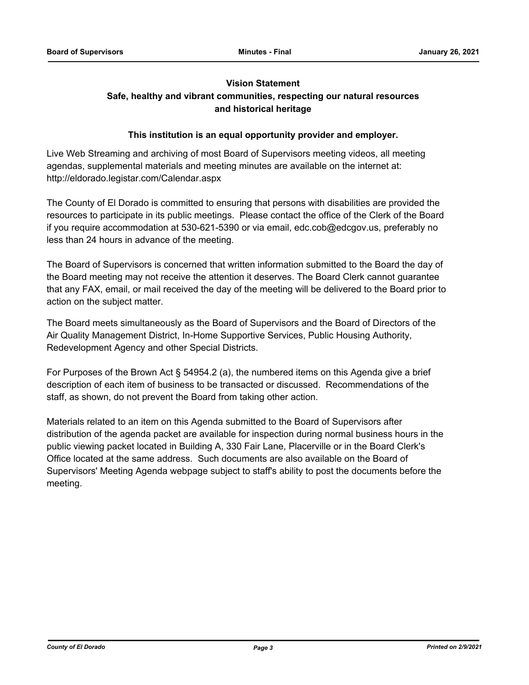## **Vision Statement Safe, healthy and vibrant communities, respecting our natural resources and historical heritage**

## **This institution is an equal opportunity provider and employer.**

Live Web Streaming and archiving of most Board of Supervisors meeting videos, all meeting agendas, supplemental materials and meeting minutes are available on the internet at: http://eldorado.legistar.com/Calendar.aspx

The County of El Dorado is committed to ensuring that persons with disabilities are provided the resources to participate in its public meetings. Please contact the office of the Clerk of the Board if you require accommodation at 530-621-5390 or via email, edc.cob@edcgov.us, preferably no less than 24 hours in advance of the meeting.

The Board of Supervisors is concerned that written information submitted to the Board the day of the Board meeting may not receive the attention it deserves. The Board Clerk cannot guarantee that any FAX, email, or mail received the day of the meeting will be delivered to the Board prior to action on the subject matter.

The Board meets simultaneously as the Board of Supervisors and the Board of Directors of the Air Quality Management District, In-Home Supportive Services, Public Housing Authority, Redevelopment Agency and other Special Districts.

For Purposes of the Brown Act § 54954.2 (a), the numbered items on this Agenda give a brief description of each item of business to be transacted or discussed. Recommendations of the staff, as shown, do not prevent the Board from taking other action.

Materials related to an item on this Agenda submitted to the Board of Supervisors after distribution of the agenda packet are available for inspection during normal business hours in the public viewing packet located in Building A, 330 Fair Lane, Placerville or in the Board Clerk's Office located at the same address. Such documents are also available on the Board of Supervisors' Meeting Agenda webpage subject to staff's ability to post the documents before the meeting.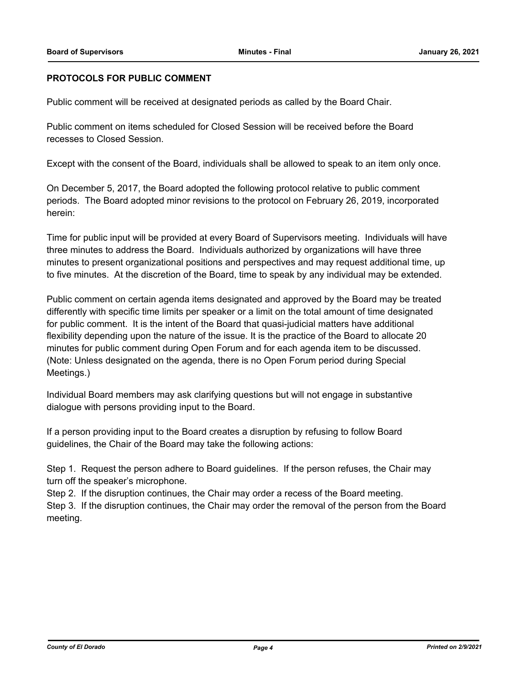## **PROTOCOLS FOR PUBLIC COMMENT**

Public comment will be received at designated periods as called by the Board Chair.

Public comment on items scheduled for Closed Session will be received before the Board recesses to Closed Session.

Except with the consent of the Board, individuals shall be allowed to speak to an item only once.

On December 5, 2017, the Board adopted the following protocol relative to public comment periods. The Board adopted minor revisions to the protocol on February 26, 2019, incorporated herein:

Time for public input will be provided at every Board of Supervisors meeting. Individuals will have three minutes to address the Board. Individuals authorized by organizations will have three minutes to present organizational positions and perspectives and may request additional time, up to five minutes. At the discretion of the Board, time to speak by any individual may be extended.

Public comment on certain agenda items designated and approved by the Board may be treated differently with specific time limits per speaker or a limit on the total amount of time designated for public comment. It is the intent of the Board that quasi-judicial matters have additional flexibility depending upon the nature of the issue. It is the practice of the Board to allocate 20 minutes for public comment during Open Forum and for each agenda item to be discussed. (Note: Unless designated on the agenda, there is no Open Forum period during Special Meetings.)

Individual Board members may ask clarifying questions but will not engage in substantive dialogue with persons providing input to the Board.

If a person providing input to the Board creates a disruption by refusing to follow Board guidelines, the Chair of the Board may take the following actions:

Step 1. Request the person adhere to Board guidelines. If the person refuses, the Chair may turn off the speaker's microphone.

Step 2. If the disruption continues, the Chair may order a recess of the Board meeting.

Step 3. If the disruption continues, the Chair may order the removal of the person from the Board meeting.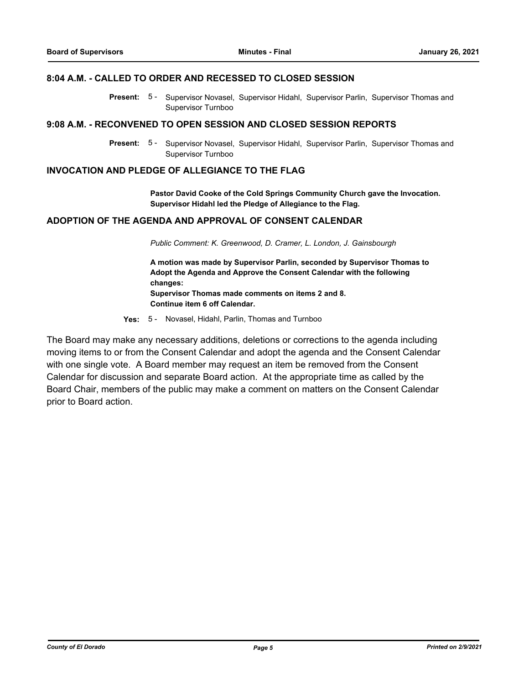### **8:04 A.M. - CALLED TO ORDER AND RECESSED TO CLOSED SESSION**

Present: 5- Supervisor Novasel, Supervisor Hidahl, Supervisor Parlin, Supervisor Thomas and Supervisor Turnboo

#### **9:08 A.M. - RECONVENED TO OPEN SESSION AND CLOSED SESSION REPORTS**

Present: 5 - Supervisor Novasel, Supervisor Hidahl, Supervisor Parlin, Supervisor Thomas and Supervisor Turnboo

## **INVOCATION AND PLEDGE OF ALLEGIANCE TO THE FLAG**

**Pastor David Cooke of the Cold Springs Community Church gave the Invocation. Supervisor Hidahl led the Pledge of Allegiance to the Flag.**

## **ADOPTION OF THE AGENDA AND APPROVAL OF CONSENT CALENDAR**

*Public Comment: K. Greenwood, D. Cramer, L. London, J. Gainsbourgh*

**A motion was made by Supervisor Parlin, seconded by Supervisor Thomas to Adopt the Agenda and Approve the Consent Calendar with the following changes: Supervisor Thomas made comments on items 2 and 8. Continue item 6 off Calendar.**

**Yes:** 5 - Novasel, Hidahl, Parlin, Thomas and Turnboo

The Board may make any necessary additions, deletions or corrections to the agenda including moving items to or from the Consent Calendar and adopt the agenda and the Consent Calendar with one single vote. A Board member may request an item be removed from the Consent Calendar for discussion and separate Board action. At the appropriate time as called by the Board Chair, members of the public may make a comment on matters on the Consent Calendar prior to Board action.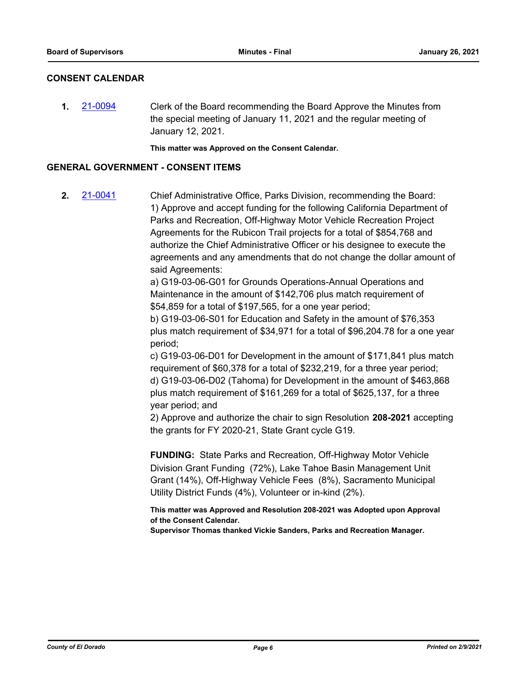## **CONSENT CALENDAR**

**1.** [21-0094](http://eldorado.legistar.com/gateway.aspx?m=l&id=/matter.aspx?key=28989) Clerk of the Board recommending the Board Approve the Minutes from the special meeting of January 11, 2021 and the regular meeting of January 12, 2021.

**This matter was Approved on the Consent Calendar.**

#### **GENERAL GOVERNMENT - CONSENT ITEMS**

**2.** [21-0041](http://eldorado.legistar.com/gateway.aspx?m=l&id=/matter.aspx?key=28936) Chief Administrative Office, Parks Division, recommending the Board: 1) Approve and accept funding for the following California Department of Parks and Recreation, Off-Highway Motor Vehicle Recreation Project Agreements for the Rubicon Trail projects for a total of \$854,768 and authorize the Chief Administrative Officer or his designee to execute the agreements and any amendments that do not change the dollar amount of said Agreements:

> a) G19-03-06-G01 for Grounds Operations-Annual Operations and Maintenance in the amount of \$142,706 plus match requirement of \$54,859 for a total of \$197,565, for a one year period;

b) G19-03-06-S01 for Education and Safety in the amount of \$76,353 plus match requirement of \$34,971 for a total of \$96,204.78 for a one year period;

c) G19-03-06-D01 for Development in the amount of \$171,841 plus match requirement of \$60,378 for a total of \$232,219, for a three year period; d) G19-03-06-D02 (Tahoma) for Development in the amount of \$463,868 plus match requirement of \$161,269 for a total of \$625,137, for a three year period; and

2) Approve and authorize the chair to sign Resolution **208-2021** accepting the grants for FY 2020-21, State Grant cycle G19.

**FUNDING:** State Parks and Recreation, Off-Highway Motor Vehicle Division Grant Funding (72%), Lake Tahoe Basin Management Unit Grant (14%), Off-Highway Vehicle Fees (8%), Sacramento Municipal Utility District Funds (4%), Volunteer or in-kind (2%).

**This matter was Approved and Resolution 208-2021 was Adopted upon Approval of the Consent Calendar.**

**Supervisor Thomas thanked Vickie Sanders, Parks and Recreation Manager.**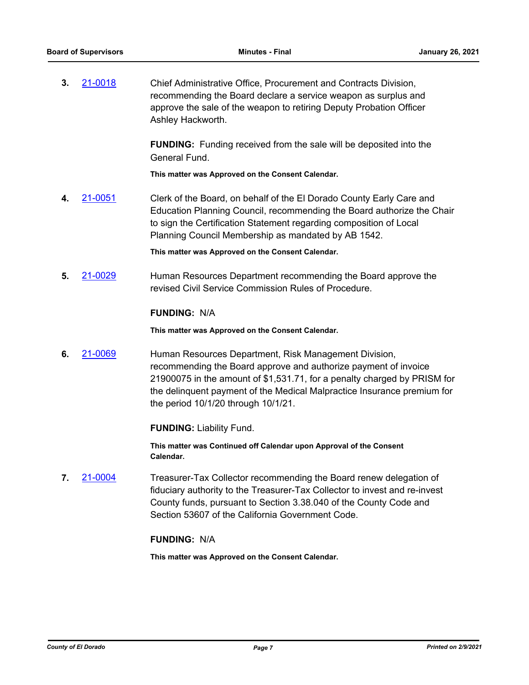**3.** [21-0018](http://eldorado.legistar.com/gateway.aspx?m=l&id=/matter.aspx?key=28913) Chief Administrative Office, Procurement and Contracts Division, recommending the Board declare a service weapon as surplus and approve the sale of the weapon to retiring Deputy Probation Officer Ashley Hackworth.

> **FUNDING:** Funding received from the sale will be deposited into the General Fund.

**This matter was Approved on the Consent Calendar.**

**4.** [21-0051](http://eldorado.legistar.com/gateway.aspx?m=l&id=/matter.aspx?key=28946) Clerk of the Board, on behalf of the El Dorado County Early Care and Education Planning Council, recommending the Board authorize the Chair to sign the Certification Statement regarding composition of Local Planning Council Membership as mandated by AB 1542.

**This matter was Approved on the Consent Calendar.**

**5.** [21-0029](http://eldorado.legistar.com/gateway.aspx?m=l&id=/matter.aspx?key=28924) Human Resources Department recommending the Board approve the revised Civil Service Commission Rules of Procedure.

### **FUNDING:** N/A

**This matter was Approved on the Consent Calendar.**

**6.** [21-0069](http://eldorado.legistar.com/gateway.aspx?m=l&id=/matter.aspx?key=28964) Human Resources Department, Risk Management Division, recommending the Board approve and authorize payment of invoice 21900075 in the amount of \$1,531.71, for a penalty charged by PRISM for the delinquent payment of the Medical Malpractice Insurance premium for the period 10/1/20 through 10/1/21.

**FUNDING:** Liability Fund.

**This matter was Continued off Calendar upon Approval of the Consent Calendar.**

**7.** [21-0004](http://eldorado.legistar.com/gateway.aspx?m=l&id=/matter.aspx?key=28899) Treasurer-Tax Collector recommending the Board renew delegation of fiduciary authority to the Treasurer-Tax Collector to invest and re-invest County funds, pursuant to Section 3.38.040 of the County Code and Section 53607 of the California Government Code.

## **FUNDING:** N/A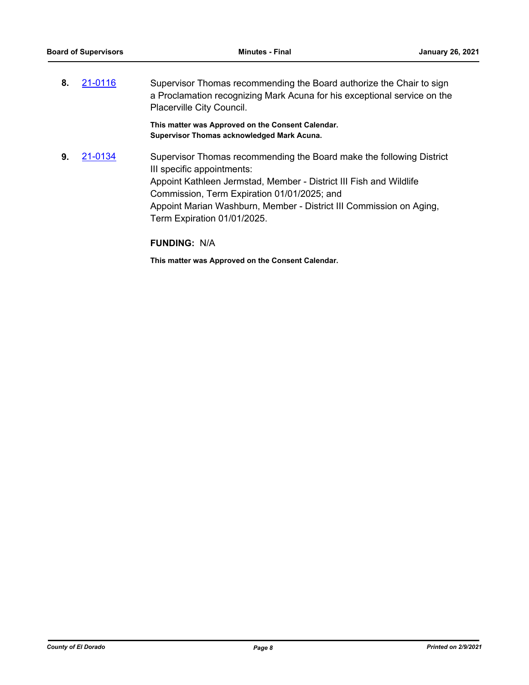**8.** [21-0116](http://eldorado.legistar.com/gateway.aspx?m=l&id=/matter.aspx?key=29011) Supervisor Thomas recommending the Board authorize the Chair to sign a Proclamation recognizing Mark Acuna for his exceptional service on the Placerville City Council.

> **This matter was Approved on the Consent Calendar. Supervisor Thomas acknowledged Mark Acuna.**

**9.** [21-0134](http://eldorado.legistar.com/gateway.aspx?m=l&id=/matter.aspx?key=29029) Supervisor Thomas recommending the Board make the following District III specific appointments: Appoint Kathleen Jermstad, Member - District III Fish and Wildlife Commission, Term Expiration 01/01/2025; and Appoint Marian Washburn, Member - District III Commission on Aging, Term Expiration 01/01/2025.

**FUNDING:** N/A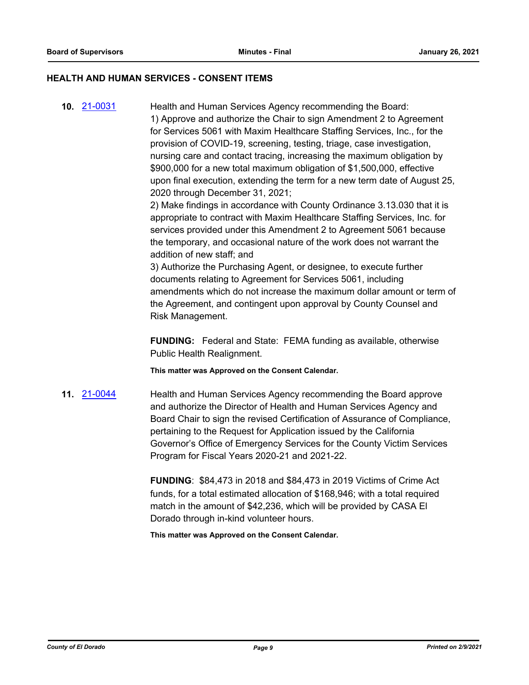#### **HEALTH AND HUMAN SERVICES - CONSENT ITEMS**

**10.** [21-0031](http://eldorado.legistar.com/gateway.aspx?m=l&id=/matter.aspx?key=28926) Health and Human Services Agency recommending the Board: 1) Approve and authorize the Chair to sign Amendment 2 to Agreement for Services 5061 with Maxim Healthcare Staffing Services, Inc., for the provision of COVID-19, screening, testing, triage, case investigation, nursing care and contact tracing, increasing the maximum obligation by \$900,000 for a new total maximum obligation of \$1,500,000, effective upon final execution, extending the term for a new term date of August 25, 2020 through December 31, 2021;

2) Make findings in accordance with County Ordinance 3.13.030 that it is appropriate to contract with Maxim Healthcare Staffing Services, Inc. for services provided under this Amendment 2 to Agreement 5061 because the temporary, and occasional nature of the work does not warrant the addition of new staff; and

3) Authorize the Purchasing Agent, or designee, to execute further documents relating to Agreement for Services 5061, including amendments which do not increase the maximum dollar amount or term of the Agreement, and contingent upon approval by County Counsel and Risk Management.

**FUNDING:** Federal and State: FEMA funding as available, otherwise Public Health Realignment.

**This matter was Approved on the Consent Calendar.**

**11.** [21-0044](http://eldorado.legistar.com/gateway.aspx?m=l&id=/matter.aspx?key=28939) Health and Human Services Agency recommending the Board approve and authorize the Director of Health and Human Services Agency and Board Chair to sign the revised Certification of Assurance of Compliance, pertaining to the Request for Application issued by the California Governor's Office of Emergency Services for the County Victim Services Program for Fiscal Years 2020-21 and 2021-22.

> **FUNDING**: \$84,473 in 2018 and \$84,473 in 2019 Victims of Crime Act funds, for a total estimated allocation of \$168,946; with a total required match in the amount of \$42,236, which will be provided by CASA El Dorado through in-kind volunteer hours.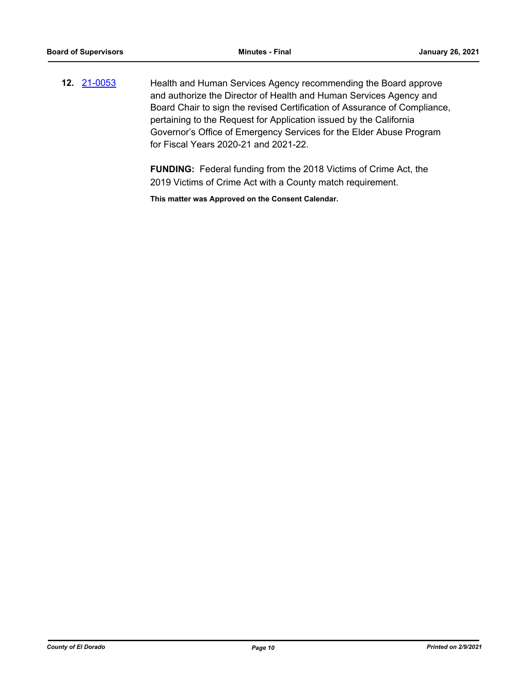**12.** [21-0053](http://eldorado.legistar.com/gateway.aspx?m=l&id=/matter.aspx?key=28948) Health and Human Services Agency recommending the Board approve and authorize the Director of Health and Human Services Agency and Board Chair to sign the revised Certification of Assurance of Compliance, pertaining to the Request for Application issued by the California Governor's Office of Emergency Services for the Elder Abuse Program for Fiscal Years 2020-21 and 2021-22.

> **FUNDING:** Federal funding from the 2018 Victims of Crime Act, the 2019 Victims of Crime Act with a County match requirement.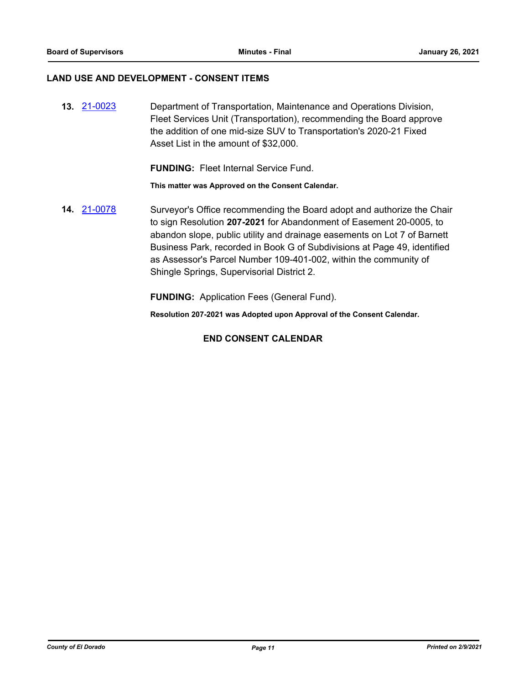#### **LAND USE AND DEVELOPMENT - CONSENT ITEMS**

**13.** [21-0023](http://eldorado.legistar.com/gateway.aspx?m=l&id=/matter.aspx?key=28918) Department of Transportation, Maintenance and Operations Division, Fleet Services Unit (Transportation), recommending the Board approve the addition of one mid-size SUV to Transportation's 2020-21 Fixed Asset List in the amount of \$32,000.

**FUNDING:** Fleet Internal Service Fund.

**This matter was Approved on the Consent Calendar.**

**14.** [21-0078](http://eldorado.legistar.com/gateway.aspx?m=l&id=/matter.aspx?key=28973) Surveyor's Office recommending the Board adopt and authorize the Chair to sign Resolution **207-2021** for Abandonment of Easement 20-0005, to abandon slope, public utility and drainage easements on Lot 7 of Barnett Business Park, recorded in Book G of Subdivisions at Page 49, identified as Assessor's Parcel Number 109-401-002, within the community of Shingle Springs, Supervisorial District 2.

**FUNDING:** Application Fees (General Fund).

**Resolution 207-2021 was Adopted upon Approval of the Consent Calendar.**

## **END CONSENT CALENDAR**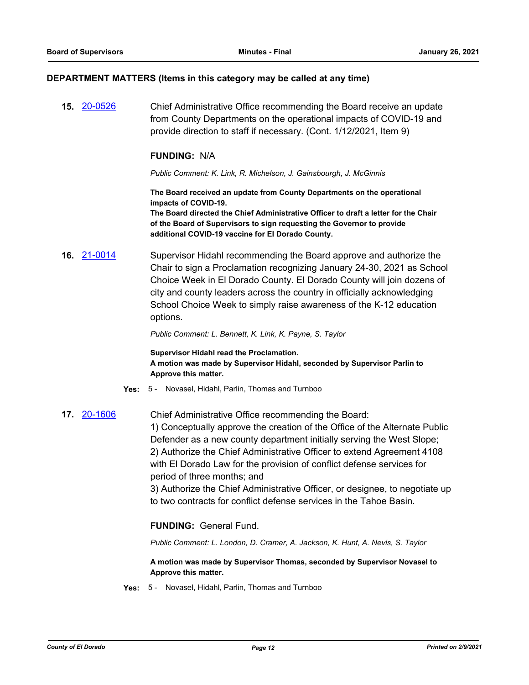#### **DEPARTMENT MATTERS (Items in this category may be called at any time)**

**15.** [20-0526](http://eldorado.legistar.com/gateway.aspx?m=l&id=/matter.aspx?key=27732) Chief Administrative Office recommending the Board receive an update from County Departments on the operational impacts of COVID-19 and provide direction to staff if necessary. (Cont. 1/12/2021, Item 9)

#### **FUNDING:** N/A

*Public Comment: K. Link, R. Michelson, J. Gainsbourgh, J. McGinnis*

**The Board received an update from County Departments on the operational impacts of COVID-19. The Board directed the Chief Administrative Officer to draft a letter for the Chair** 

**of the Board of Supervisors to sign requesting the Governor to provide additional COVID-19 vaccine for El Dorado County.**

**16.** [21-0014](http://eldorado.legistar.com/gateway.aspx?m=l&id=/matter.aspx?key=28909) Supervisor Hidahl recommending the Board approve and authorize the Chair to sign a Proclamation recognizing January 24-30, 2021 as School Choice Week in El Dorado County. El Dorado County will join dozens of city and county leaders across the country in officially acknowledging School Choice Week to simply raise awareness of the K-12 education options.

*Public Comment: L. Bennett, K. Link, K. Payne, S. Taylor*

**Supervisor Hidahl read the Proclamation. A motion was made by Supervisor Hidahl, seconded by Supervisor Parlin to Approve this matter.**

- **Yes:** 5 Novasel, Hidahl, Parlin, Thomas and Turnboo
- **17.** [20-1606](http://eldorado.legistar.com/gateway.aspx?m=l&id=/matter.aspx?key=28815) Chief Administrative Office recommending the Board: 1) Conceptually approve the creation of the Office of the Alternate Public Defender as a new county department initially serving the West Slope; 2) Authorize the Chief Administrative Officer to extend Agreement 4108 with El Dorado Law for the provision of conflict defense services for period of three months; and 3) Authorize the Chief Administrative Officer, or designee, to negotiate up

to two contracts for conflict defense services in the Tahoe Basin.

**FUNDING:** General Fund.

*Public Comment: L. London, D. Cramer, A. Jackson, K. Hunt, A. Nevis, S. Taylor*

**A motion was made by Supervisor Thomas, seconded by Supervisor Novasel to Approve this matter.**

**Yes:** 5 - Novasel, Hidahl, Parlin, Thomas and Turnboo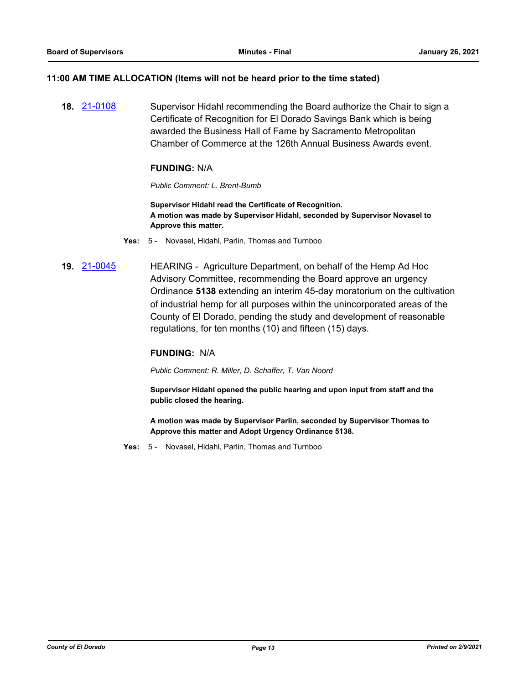#### **11:00 AM TIME ALLOCATION (Items will not be heard prior to the time stated)**

**18.** [21-0108](http://eldorado.legistar.com/gateway.aspx?m=l&id=/matter.aspx?key=29003) Supervisor Hidahl recommending the Board authorize the Chair to sign a Certificate of Recognition for El Dorado Savings Bank which is being awarded the Business Hall of Fame by Sacramento Metropolitan Chamber of Commerce at the 126th Annual Business Awards event.

#### **FUNDING:** N/A

#### *Public Comment: L. Brent-Bumb*

**Supervisor Hidahl read the Certificate of Recognition. A motion was made by Supervisor Hidahl, seconded by Supervisor Novasel to Approve this matter.**

- **Yes:** 5 Novasel, Hidahl, Parlin, Thomas and Turnboo
- **19.** [21-0045](http://eldorado.legistar.com/gateway.aspx?m=l&id=/matter.aspx?key=28940) HEARING Agriculture Department, on behalf of the Hemp Ad Hoc Advisory Committee, recommending the Board approve an urgency Ordinance **5138** extending an interim 45-day moratorium on the cultivation of industrial hemp for all purposes within the unincorporated areas of the County of El Dorado, pending the study and development of reasonable regulations, for ten months (10) and fifteen (15) days.

#### **FUNDING:** N/A

*Public Comment: R. Miller, D. Schaffer, T. Van Noord*

**Supervisor Hidahl opened the public hearing and upon input from staff and the public closed the hearing.**

**A motion was made by Supervisor Parlin, seconded by Supervisor Thomas to Approve this matter and Adopt Urgency Ordinance 5138.**

**Yes:** 5 - Novasel, Hidahl, Parlin, Thomas and Turnboo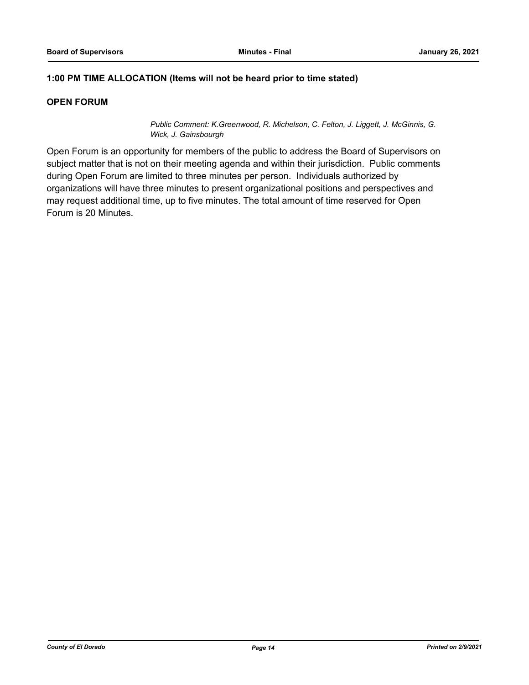## **1:00 PM TIME ALLOCATION (Items will not be heard prior to time stated)**

## **OPEN FORUM**

*Public Comment: K.Greenwood, R. Michelson, C. Felton, J. Liggett, J. McGinnis, G. Wick, J. Gainsbourgh*

Open Forum is an opportunity for members of the public to address the Board of Supervisors on subject matter that is not on their meeting agenda and within their jurisdiction. Public comments during Open Forum are limited to three minutes per person. Individuals authorized by organizations will have three minutes to present organizational positions and perspectives and may request additional time, up to five minutes. The total amount of time reserved for Open Forum is 20 Minutes.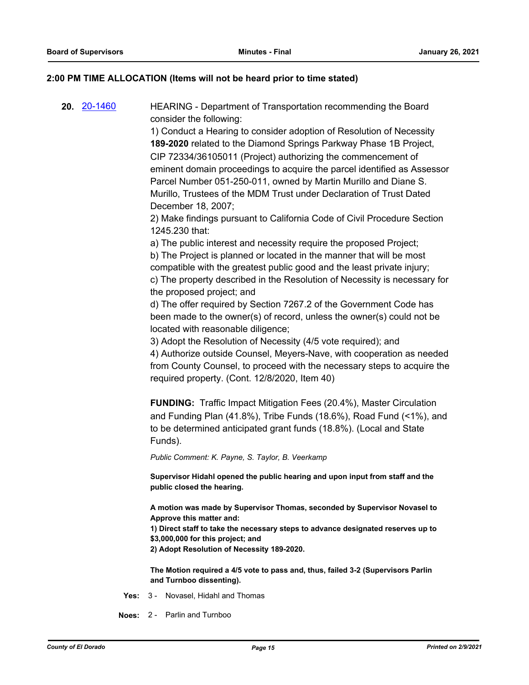#### **2:00 PM TIME ALLOCATION (Items will not be heard prior to time stated)**

**20.** [20-1460](http://eldorado.legistar.com/gateway.aspx?m=l&id=/matter.aspx?key=28669) HEARING - Department of Transportation recommending the Board consider the following:

> 1) Conduct a Hearing to consider adoption of Resolution of Necessity **189-2020** related to the Diamond Springs Parkway Phase 1B Project, CIP 72334/36105011 (Project) authorizing the commencement of eminent domain proceedings to acquire the parcel identified as Assessor Parcel Number 051-250-011, owned by Martin Murillo and Diane S. Murillo, Trustees of the MDM Trust under Declaration of Trust Dated December 18, 2007;

2) Make findings pursuant to California Code of Civil Procedure Section 1245.230 that:

a) The public interest and necessity require the proposed Project; b) The Project is planned or located in the manner that will be most compatible with the greatest public good and the least private injury; c) The property described in the Resolution of Necessity is necessary for the proposed project; and

d) The offer required by Section 7267.2 of the Government Code has been made to the owner(s) of record, unless the owner(s) could not be located with reasonable diligence;

3) Adopt the Resolution of Necessity (4/5 vote required); and

4) Authorize outside Counsel, Meyers-Nave, with cooperation as needed from County Counsel, to proceed with the necessary steps to acquire the required property. (Cont. 12/8/2020, Item 40)

**FUNDING:** Traffic Impact Mitigation Fees (20.4%), Master Circulation and Funding Plan (41.8%), Tribe Funds (18.6%), Road Fund (<1%), and to be determined anticipated grant funds (18.8%). (Local and State Funds).

*Public Comment: K. Payne, S. Taylor, B. Veerkamp*

**Supervisor Hidahl opened the public hearing and upon input from staff and the public closed the hearing.**

**A motion was made by Supervisor Thomas, seconded by Supervisor Novasel to Approve this matter and:**

**1) Direct staff to take the necessary steps to advance designated reserves up to \$3,000,000 for this project; and** 

**2) Adopt Resolution of Necessity 189-2020.**

**The Motion required a 4/5 vote to pass and, thus, failed 3-2 (Supervisors Parlin and Turnboo dissenting).**

- **Yes:** 3 Novasel, Hidahl and Thomas
- **Noes:** 2 Parlin and Turnboo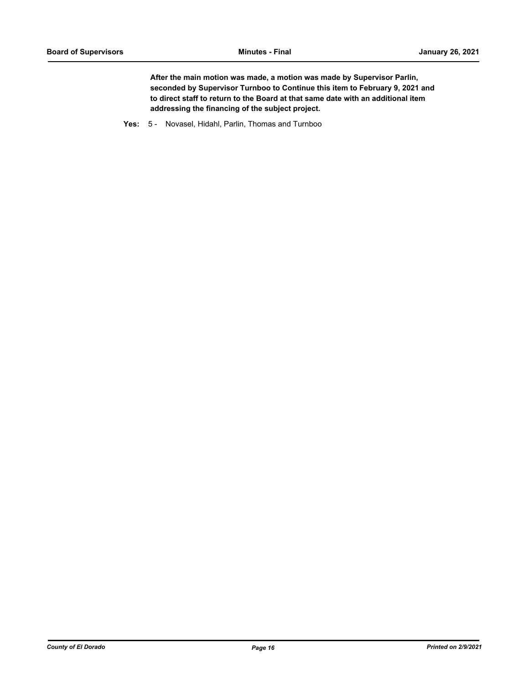**After the main motion was made, a motion was made by Supervisor Parlin, seconded by Supervisor Turnboo to Continue this item to February 9, 2021 and to direct staff to return to the Board at that same date with an additional item addressing the financing of the subject project.**

**Yes:** 5 - Novasel, Hidahl, Parlin, Thomas and Turnboo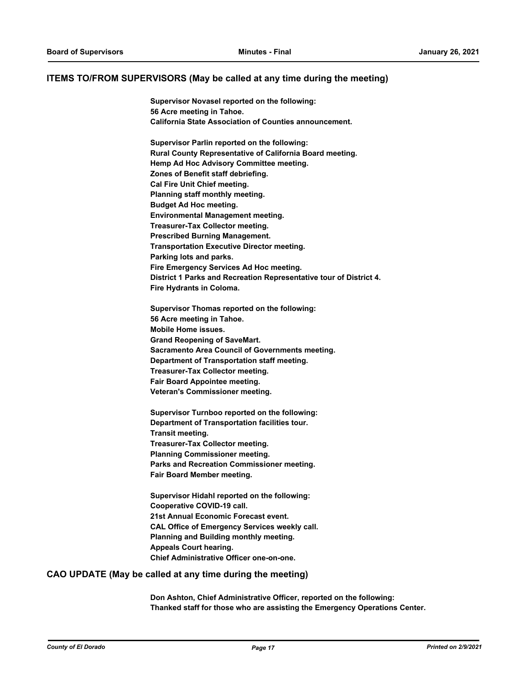#### **ITEMS TO/FROM SUPERVISORS (May be called at any time during the meeting)**

**Supervisor Novasel reported on the following: 56 Acre meeting in Tahoe. California State Association of Counties announcement.**

**Supervisor Parlin reported on the following: Rural County Representative of California Board meeting. Hemp Ad Hoc Advisory Committee meeting. Zones of Benefit staff debriefing. Cal Fire Unit Chief meeting. Planning staff monthly meeting. Budget Ad Hoc meeting. Environmental Management meeting. Treasurer-Tax Collector meeting. Prescribed Burning Management. Transportation Executive Director meeting. Parking lots and parks. Fire Emergency Services Ad Hoc meeting. District 1 Parks and Recreation Representative tour of District 4. Fire Hydrants in Coloma.**

**Supervisor Thomas reported on the following: 56 Acre meeting in Tahoe. Mobile Home issues. Grand Reopening of SaveMart. Sacramento Area Council of Governments meeting. Department of Transportation staff meeting. Treasurer-Tax Collector meeting. Fair Board Appointee meeting. Veteran's Commissioner meeting.**

**Supervisor Turnboo reported on the following: Department of Transportation facilities tour. Transit meeting. Treasurer-Tax Collector meeting. Planning Commissioner meeting. Parks and Recreation Commissioner meeting. Fair Board Member meeting.**

**Supervisor Hidahl reported on the following: Cooperative COVID-19 call. 21st Annual Economic Forecast event. CAL Office of Emergency Services weekly call. Planning and Building monthly meeting. Appeals Court hearing. Chief Administrative Officer one-on-one.**

#### **CAO UPDATE (May be called at any time during the meeting)**

**Don Ashton, Chief Administrative Officer, reported on the following: Thanked staff for those who are assisting the Emergency Operations Center.**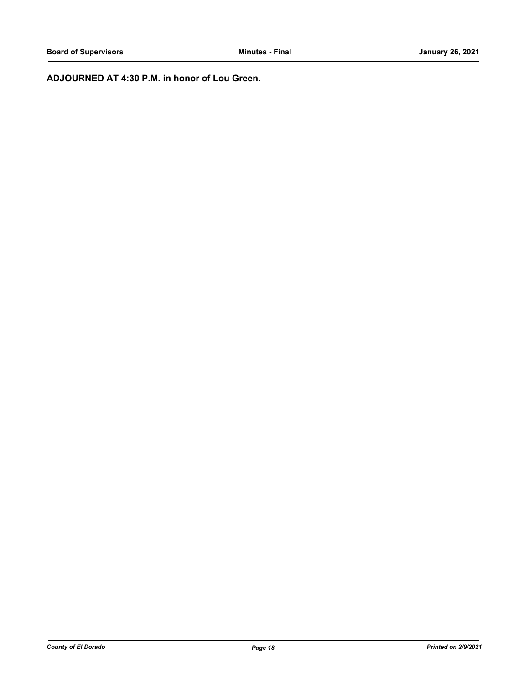**ADJOURNED AT 4:30 P.M. in honor of Lou Green.**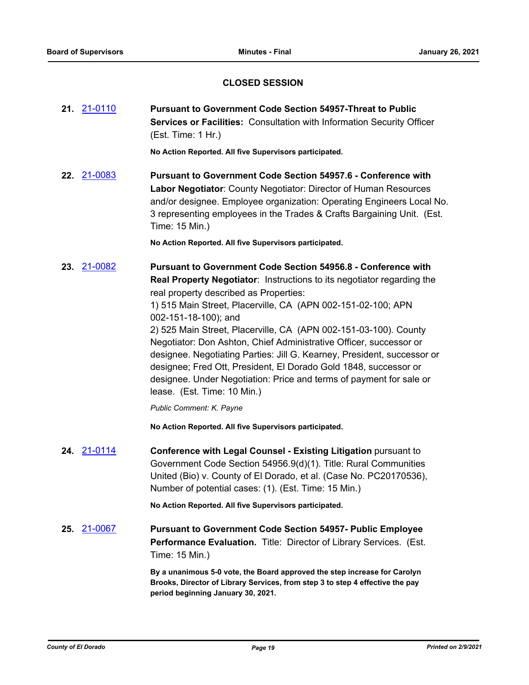## **CLOSED SESSION**

**21.** [21-0110](http://eldorado.legistar.com/gateway.aspx?m=l&id=/matter.aspx?key=29005) **Pursuant to Government Code Section 54957-Threat to Public Services or Facilities:** Consultation with Information Security Officer (Est. Time: 1 Hr.)

**No Action Reported. All five Supervisors participated.**

**22.** [21-0083](http://eldorado.legistar.com/gateway.aspx?m=l&id=/matter.aspx?key=28978) **Pursuant to Government Code Section 54957.6 - Conference with Labor Negotiator**: County Negotiator: Director of Human Resources and/or designee. Employee organization: Operating Engineers Local No. 3 representing employees in the Trades & Crafts Bargaining Unit. (Est. Time: 15 Min.)

**No Action Reported. All five Supervisors participated.**

**23.** [21-0082](http://eldorado.legistar.com/gateway.aspx?m=l&id=/matter.aspx?key=28977) **Pursuant to Government Code Section 54956.8 - Conference with Real Property Negotiator**: Instructions to its negotiator regarding the real property described as Properties:

> 1) 515 Main Street, Placerville, CA (APN 002-151-02-100; APN 002-151-18-100); and

2) 525 Main Street, Placerville, CA (APN 002-151-03-100). County Negotiator: Don Ashton, Chief Administrative Officer, successor or designee. Negotiating Parties: Jill G. Kearney, President, successor or designee; Fred Ott, President, El Dorado Gold 1848, successor or designee. Under Negotiation: Price and terms of payment for sale or lease. (Est. Time: 10 Min.)

*Public Comment: K. Payne*

**No Action Reported. All five Supervisors participated.**

**24.** [21-0114](http://eldorado.legistar.com/gateway.aspx?m=l&id=/matter.aspx?key=29009) **Conference with Legal Counsel - Existing Litigation** pursuant to Government Code Section 54956.9(d)(1). Title: Rural Communities United (Bio) v. County of El Dorado, et al. (Case No. PC20170536), Number of potential cases: (1). (Est. Time: 15 Min.)

**No Action Reported. All five Supervisors participated.**

**25.** [21-0067](http://eldorado.legistar.com/gateway.aspx?m=l&id=/matter.aspx?key=28962) **Pursuant to Government Code Section 54957- Public Employee Performance Evaluation.** Title: Director of Library Services. (Est. Time: 15 Min.)

> **By a unanimous 5-0 vote, the Board approved the step increase for Carolyn Brooks, Director of Library Services, from step 3 to step 4 effective the pay period beginning January 30, 2021.**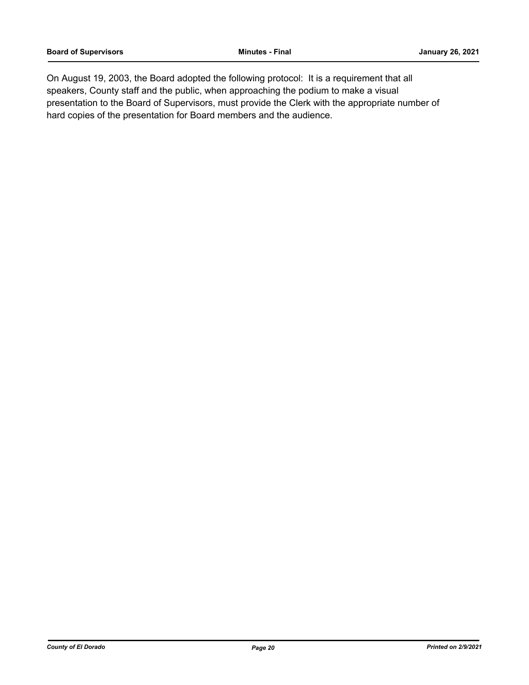On August 19, 2003, the Board adopted the following protocol: It is a requirement that all speakers, County staff and the public, when approaching the podium to make a visual presentation to the Board of Supervisors, must provide the Clerk with the appropriate number of hard copies of the presentation for Board members and the audience.